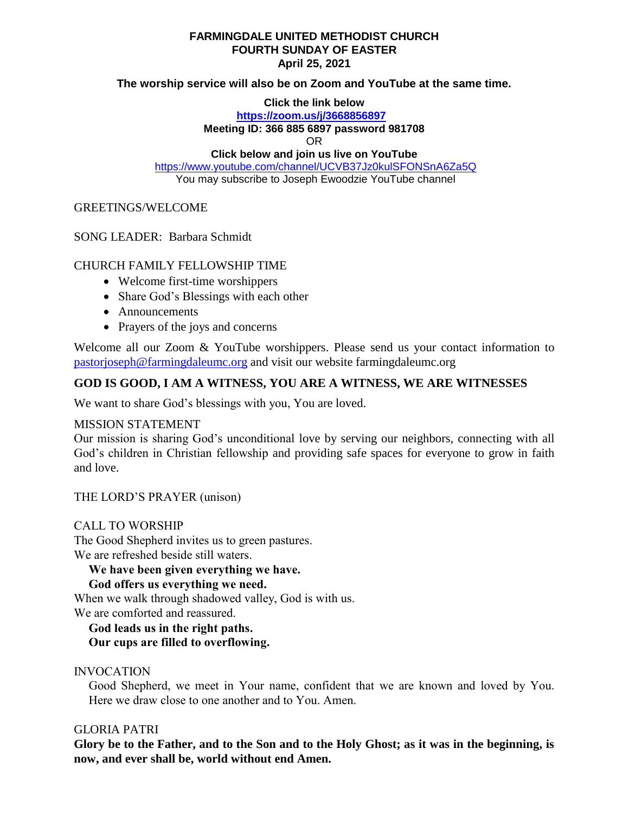#### **FARMINGDALE UNITED METHODIST CHURCH FOURTH SUNDAY OF EASTER April 25, 2021**

**The worship service will also be on Zoom and YouTube at the same time.**

**Click the link below**

**<https://zoom.us/j/3668856897>**

**Meeting ID: 366 885 6897 password 981708**

OR

**Click below and join us live on YouTube** 

<https://www.youtube.com/channel/UCVB37Jz0kulSFONSnA6Za5Q> You may subscribe to Joseph Ewoodzie YouTube channel

#### GREETINGS/WELCOME

SONG LEADER: Barbara Schmidt

# CHURCH FAMILY FELLOWSHIP TIME

- Welcome first-time worshippers
- Share God's Blessings with each other
- Announcements
- Prayers of the joys and concerns

Welcome all our Zoom & YouTube worshippers. Please send us your contact information to [pastorjoseph@farmingdaleumc.org](mailto:pastorjoseph@farmingdaleumc.org) and visit our website farmingdaleumc.org

# **GOD IS GOOD, I AM A WITNESS, YOU ARE A WITNESS, WE ARE WITNESSES**

We want to share God's blessings with you, You are loved.

## MISSION STATEMENT

Our mission is sharing God's unconditional love by serving our neighbors, connecting with all God's children in Christian fellowship and providing safe spaces for everyone to grow in faith and love.

THE LORD'S PRAYER (unison)

## CALL TO WORSHIP

The Good Shepherd invites us to green pastures. We are refreshed beside still waters.

**We have been given everything we have.**

**God offers us everything we need.**

When we walk through shadowed valley, God is with us. We are comforted and reassured.

**God leads us in the right paths. Our cups are filled to overflowing.**

## INVOCATION

Good Shepherd, we meet in Your name, confident that we are known and loved by You. Here we draw close to one another and to You. Amen.

## GLORIA PATRI

**Glory be to the Father, and to the Son and to the Holy Ghost; as it was in the beginning, is now, and ever shall be, world without end Amen.**